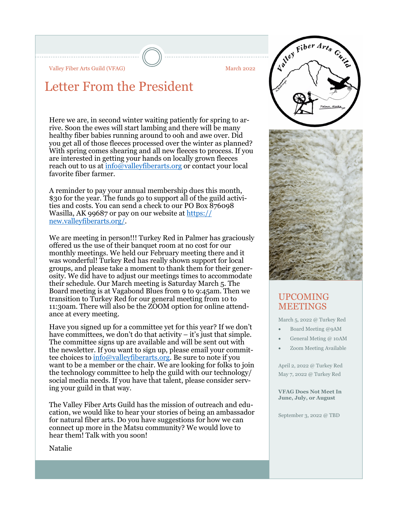Valley Fiber Arts Guild (VFAG) March 2022

# Letter From the President

Here we are, in second winter waiting patiently for spring to arrive. Soon the ewes will start lambing and there will be many healthy fiber babies running around to ooh and awe over. Did you get all of those fleeces processed over the winter as planned? With spring comes shearing and all new fleeces to process. If you are interested in getting your hands on locally grown fleeces reach out to us at info@valleyfiberarts.org or contact your local favorite fiber farmer.

A reminder to pay your annual membership dues this month, \$30 for the year. The funds go to support all of the guild activities and costs. You can send a check to our PO Box 876098 Wasilla, AK 99687 or pay on our website at https:// new.valleyfiberarts.org/.

We are meeting in person!!! Turkey Red in Palmer has graciously offered us the use of their banquet room at no cost for our monthly meetings. We held our February meeting there and it was wonderful! Turkey Red has really shown support for local groups, and please take a moment to thank them for their generosity. We did have to adjust our meetings times to accommodate their schedule. Our March meeting is Saturday March 5. The Board meeting is at Vagabond Blues from 9 to 9:45am. Then we transition to Turkey Red for our general meeting from 10 to 11:30am. There will also be the ZOOM option for online attendance at every meeting.

Have you signed up for a committee yet for this year? If we don't have committees, we don't do that activity  $-$  it's just that simple. The committee signs up are available and will be sent out with the newsletter. If you want to sign up, please email your committee choices to info@valleyfiberarts.org. Be sure to note if you want to be a member or the chair. We are looking for folks to join the technology committee to help the guild with our technology/ social media needs. If you have that talent, please consider serving your guild in that way.

The Valley Fiber Arts Guild has the mission of outreach and education, we would like to hear your stories of being an ambassador for natural fiber arts. Do you have suggestions for how we can connect up more in the Matsu community? We would love to hear them! Talk with you soon!





#### UPCOMING MEETINGS

March 5, 2022 @ Turkey Red

- Board Meeting @9AM
- General Meting @ 10AM
- · Zoom Meeting Available

April 2, 2022 @ Turkey Red May 7, 2022 @ Turkey Red

VFAG Does Not Meet In June, July, or August

September 3, 2022 @ TBD

Natalie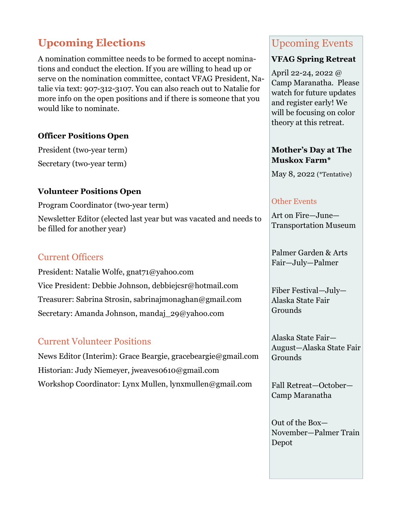# Upcoming Elections

A nomination committee needs to be formed to accept nominations and conduct the election. If you are willing to head up or serve on the nomination committee, contact VFAG President, Natalie via text: 907-312-3107. You can also reach out to Natalie for more info on the open positions and if there is someone that you would like to nominate.

#### Officer Positions Open

President (two-year term) Secretary (two-year term)

#### Volunteer Positions Open

Program Coordinator (two-year term)

Newsletter Editor (elected last year but was vacated and needs to be filled for another year)

#### Current Officers

President: Natalie Wolfe, gnat71@yahoo.com Vice President: Debbie Johnson, debbiejcsr@hotmail.com Treasurer: Sabrina Strosin, sabrinajmonaghan@gmail.com Secretary: Amanda Johnson, mandaj\_29@yahoo.com

### Current Volunteer Positions

News Editor (Interim): Grace Beargie, gracebeargie@gmail.com Historian: Judy Niemeyer, jweaves0610@gmail.com Workshop Coordinator: Lynx Mullen, lynxmullen@gmail.com

## Upcoming Events

#### VFAG Spring Retreat

April 22-24, 2022 @ Camp Maranatha. Please watch for future updates and register early! We will be focusing on color theory at this retreat.

#### Mother's Day at The Muskox Farm\*

May 8, 2022 (\*Tentative)

#### Other Events

Art on Fire—June— Transportation Museum

Palmer Garden & Arts Fair—July—Palmer

Fiber Festival—July— Alaska State Fair **Grounds** 

Alaska State Fair— August—Alaska State Fair Grounds

Fall Retreat—October— Camp Maranatha

Out of the Box— November—Palmer Train Depot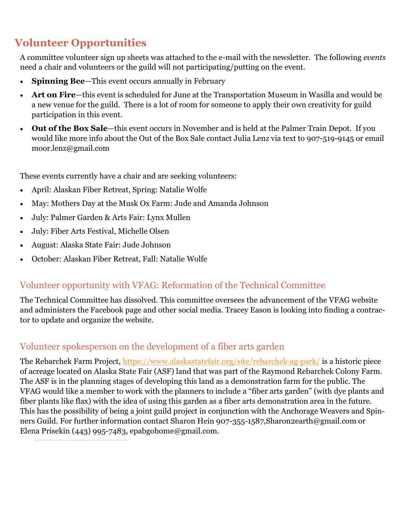# Volunteer Opportunities

A committee volunteer sign up sheets was attached to the e-mail with the newsletter. The following events need a chair and volunteers or the guild will not participating/putting on the event.

- Spinning Bee-This event occurs annually in February
- Art on Fire—this event is scheduled for June at the Transportation Museum in Wasilla and would be a new venue for the guild. There is a lot of room for someone to apply their own creativity for guild participation in this event.
- Out of the Box Sale—this event occurs in November and is held at the Palmer Train Depot. If you would like more info about the Out of the Box Sale contact Julia Lenz via text to 907-519-9145 or email moor.lenz@gmail.com

These events currently have a chair and are seeking volunteers:

- · April: Alaskan Fiber Retreat, Spring: Natalie Wolfe
- · May: Mothers Day at the Musk Ox Farm: Jude and Amanda Johnson
- · July: Palmer Garden & Arts Fair: Lynx Mullen
- · July: Fiber Arts Festival, Michelle Olsen
- · August: Alaska State Fair: Jude Johnson
- · October: Alaskan Fiber Retreat, Fall: Natalie Wolfe

## Volunteer opportunity with VFAG: Reformation of the Technical Committee

The Technical Committee has dissolved. This committee oversees the advancement of the VFAG website and administers the Facebook page and other social media. Tracey Eason is looking into finding a contractor to update and organize the website.

## Volunteer spokesperson on the development of a fiber arts garden

The Rebarchek Farm Project, https://www.alaskastatefair.org/site/rebarchek-ag-park/ is a historic piece of acreage located on Alaska State Fair (ASF) land that was part of the Raymond Rebarchek Colony Farm. The ASF is in the planning stages of developing this land as a demonstration farm for the public. The VFAG would like a member to work with the planners to include a "fiber arts garden" (with dye plants and fiber plants like flax) with the idea of using this garden as a fiber arts demonstration area in the future. This has the possibility of being a joint guild project in conjunction with the Anchorage Weavers and Spinners Guild. For further information contact Sharon Hein 907-355-1587,Sharon2earth@gmail.com or Elena Prisekin (443) 995-7483, epabgohome@gmail.com.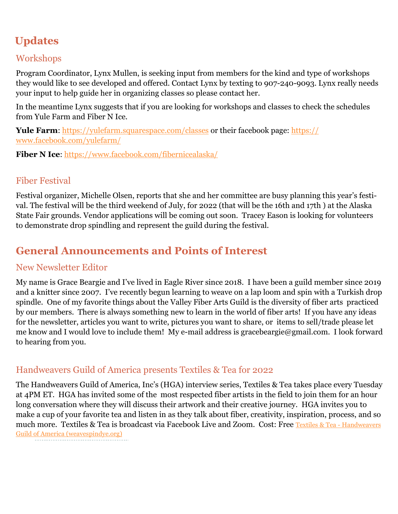# Updates

## Workshops

Program Coordinator, Lynx Mullen, is seeking input from members for the kind and type of workshops they would like to see developed and offered. Contact Lynx by texting to 907-240-9093. Lynx really needs your input to help guide her in organizing classes so please contact her.

In the meantime Lynx suggests that if you are looking for workshops and classes to check the schedules from Yule Farm and Fiber N Ice.

Yule Farm: https://yulefarm.squarespace.com/classes or their facebook page: https:// www.facebook.com/yulefarm/

Fiber N Ice: https://www.facebook.com/fibernicealaska/

## Fiber Festival

Festival organizer, Michelle Olsen, reports that she and her committee are busy planning this year's festival. The festival will be the third weekend of July, for 2022 (that will be the 16th and 17th ) at the Alaska State Fair grounds. Vendor applications will be coming out soon. Tracey Eason is looking for volunteers to demonstrate drop spindling and represent the guild during the festival.

## General Announcements and Points of Interest

## New Newsletter Editor

My name is Grace Beargie and I've lived in Eagle River since 2018. I have been a guild member since 2019 and a knitter since 2007. I've recently begun learning to weave on a lap loom and spin with a Turkish drop spindle. One of my favorite things about the Valley Fiber Arts Guild is the diversity of fiber arts practiced by our members. There is always something new to learn in the world of fiber arts! If you have any ideas for the newsletter, articles you want to write, pictures you want to share, or items to sell/trade please let me know and I would love to include them! My e-mail address is gracebeargie@gmail.com. I look forward to hearing from you.

## Handweavers Guild of America presents Textiles & Tea for 2022

The Handweavers Guild of America, Inc's (HGA) interview series, Textiles & Tea takes place every Tuesday at 4PM ET. HGA has invited some of the most respected fiber artists in the field to join them for an hour long conversation where they will discuss their artwork and their creative journey. HGA invites you to make a cup of your favorite tea and listen in as they talk about fiber, creativity, inspiration, process, and so much more. Textiles & Tea is broadcast via Facebook Live and Zoom. Cost: Free Textiles & Tea - Handweavers Guild of America (weavespindye.org)